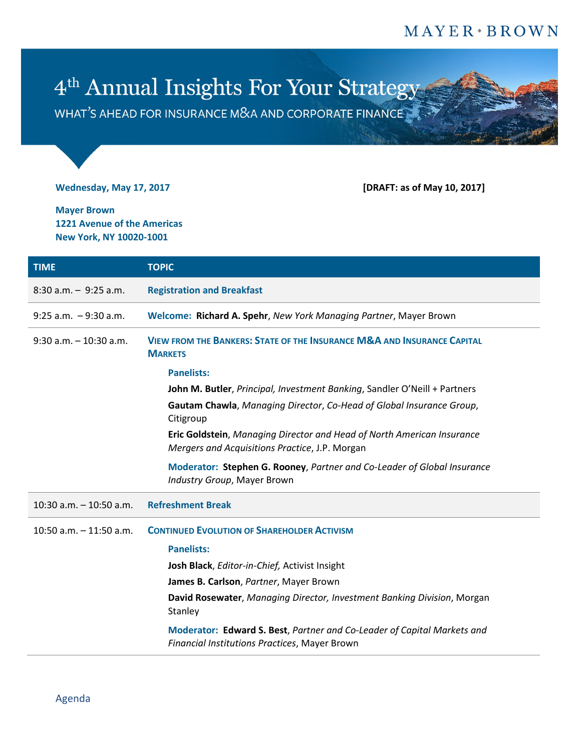## $MAYER * BROWN$

## 4<sup>th</sup> Annual Insights For Your Strategy

WHAT'S AHEAD FOR INSURANCE M&A AND CORPORATE FINANCE

**Wednesday, May 17, 2017 [DRAFT: as of May 10, 2017]**

**Mayer Brown 1221 Avenue of the Americas New York, NY 10020-1001**

| <b>TIME</b>               | <b>TOPIC</b>                                                                                                             |
|---------------------------|--------------------------------------------------------------------------------------------------------------------------|
| $8:30$ a.m. $-9:25$ a.m.  | <b>Registration and Breakfast</b>                                                                                        |
| $9:25$ a.m. $-9:30$ a.m.  | Welcome: Richard A. Spehr, New York Managing Partner, Mayer Brown                                                        |
| $9:30$ a.m. $-10:30$ a.m. | <b>VIEW FROM THE BANKERS: STATE OF THE INSURANCE M&amp;A AND INSURANCE CAPITAL</b><br><b>MARKETS</b>                     |
|                           | <b>Panelists:</b>                                                                                                        |
|                           | John M. Butler, Principal, Investment Banking, Sandler O'Neill + Partners                                                |
|                           | Gautam Chawla, Managing Director, Co-Head of Global Insurance Group,<br>Citigroup                                        |
|                           | Eric Goldstein, Managing Director and Head of North American Insurance<br>Mergers and Acquisitions Practice, J.P. Morgan |
|                           | Moderator: Stephen G. Rooney, Partner and Co-Leader of Global Insurance<br>Industry Group, Mayer Brown                   |
| 10:30 a.m. $-$ 10:50 a.m. | <b>Refreshment Break</b>                                                                                                 |
| 10:50 a.m. $-$ 11:50 a.m. | <b>CONTINUED EVOLUTION OF SHAREHOLDER ACTIVISM</b>                                                                       |
|                           | <b>Panelists:</b>                                                                                                        |
|                           | Josh Black, Editor-in-Chief, Activist Insight                                                                            |
|                           | James B. Carlson, Partner, Mayer Brown                                                                                   |
|                           | David Rosewater, Managing Director, Investment Banking Division, Morgan<br>Stanley                                       |
|                           | Moderator: Edward S. Best, Partner and Co-Leader of Capital Markets and<br>Financial Institutions Practices, Mayer Brown |